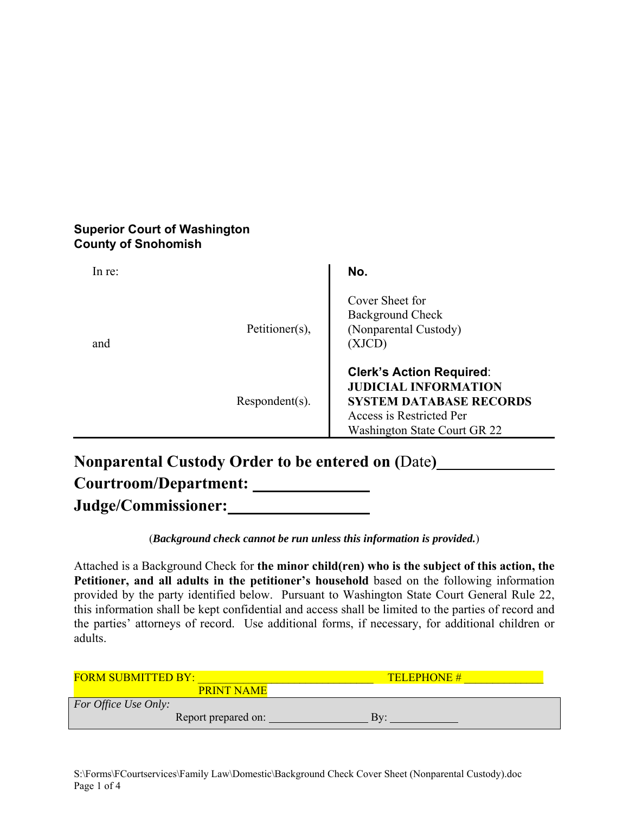## **Superior Court of Washington County of Snohomish**

| In re: |                   | No.                                                                                                                                                          |
|--------|-------------------|--------------------------------------------------------------------------------------------------------------------------------------------------------------|
| and    | Petitioner(s),    | Cover Sheet for<br><b>Background Check</b><br>(Nonparental Custody)<br>(XJCD)                                                                                |
|        | $Respondent(s)$ . | <b>Clerk's Action Required:</b><br><b>JUDICIAL INFORMATION</b><br><b>SYSTEM DATABASE RECORDS</b><br>Access is Restricted Per<br>Washington State Court GR 22 |

**Nonparental Custody Order to be entered on (**Date**) Courtroom/Department: Judge/Commissioner:** 

(*Background check cannot be run unless this information is provided.*)

Attached is a Background Check for **the minor child(ren) who is the subject of this action, the**  Petitioner, and all adults in the petitioner's household based on the following information provided by the party identified below. Pursuant to Washington State Court General Rule 22, this information shall be kept confidential and access shall be limited to the parties of record and the parties' attorneys of record. Use additional forms, if necessary, for additional children or adults.

| <b>FORM SUBMITTED BY:</b> | <b>TELEPHONE#</b> |
|---------------------------|-------------------|
| <b>PRINT NAME</b>         |                   |
| For Office Use Only:      |                   |
| Report prepared on:       | Kv.               |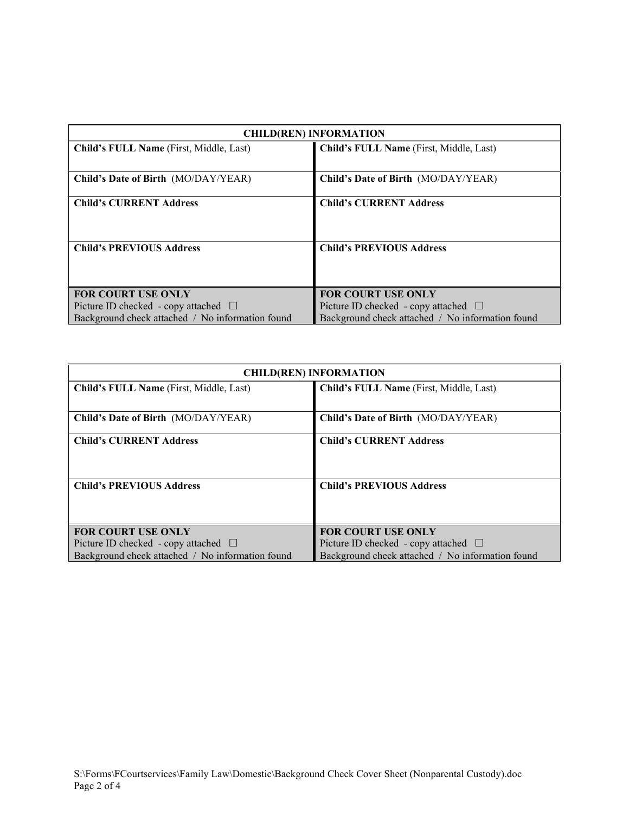| <b>CHILD(REN) INFORMATION</b>                    |                                                  |  |  |  |
|--------------------------------------------------|--------------------------------------------------|--|--|--|
| Child's FULL Name (First, Middle, Last)          | Child's FULL Name (First, Middle, Last)          |  |  |  |
|                                                  |                                                  |  |  |  |
| Child's Date of Birth (MO/DAY/YEAR)              | Child's Date of Birth (MO/DAY/YEAR)              |  |  |  |
| <b>Child's CURRENT Address</b>                   | <b>Child's CURRENT Address</b>                   |  |  |  |
|                                                  |                                                  |  |  |  |
|                                                  |                                                  |  |  |  |
| <b>Child's PREVIOUS Address</b>                  | <b>Child's PREVIOUS Address</b>                  |  |  |  |
|                                                  |                                                  |  |  |  |
|                                                  |                                                  |  |  |  |
| <b>FOR COURT USE ONLY</b>                        | <b>FOR COURT USE ONLY</b>                        |  |  |  |
| Picture ID checked - copy attached $\Box$        | Picture ID checked - copy attached $\Box$        |  |  |  |
| Background check attached / No information found | Background check attached / No information found |  |  |  |

| <b>CHILD(REN) INFORMATION</b>                    |                                                  |  |  |  |
|--------------------------------------------------|--------------------------------------------------|--|--|--|
| Child's FULL Name (First, Middle, Last)          | Child's FULL Name (First, Middle, Last)          |  |  |  |
| Child's Date of Birth (MO/DAY/YEAR)              | <b>Child's Date of Birth (MO/DAY/YEAR)</b>       |  |  |  |
| <b>Child's CURRENT Address</b>                   | <b>Child's CURRENT Address</b>                   |  |  |  |
| <b>Child's PREVIOUS Address</b>                  | <b>Child's PREVIOUS Address</b>                  |  |  |  |
| <b>FOR COURT USE ONLY</b>                        | <b>FOR COURT USE ONLY</b>                        |  |  |  |
| Picture ID checked - copy attached $\Box$        | Picture ID checked - copy attached $\Box$        |  |  |  |
| Background check attached / No information found | Background check attached / No information found |  |  |  |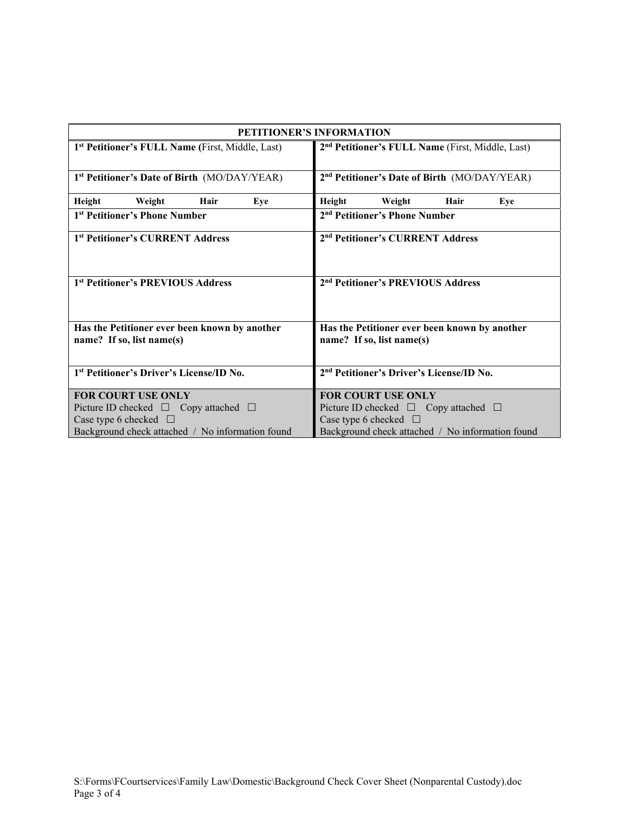| <b>PETITIONER'S INFORMATION</b>                              |                                                              |  |  |  |
|--------------------------------------------------------------|--------------------------------------------------------------|--|--|--|
| 1 <sup>st</sup> Petitioner's FULL Name (First, Middle, Last) | 2 <sup>nd</sup> Petitioner's FULL Name (First, Middle, Last) |  |  |  |
|                                                              |                                                              |  |  |  |
| 1 <sup>st</sup> Petitioner's Date of Birth (MO/DAY/YEAR)     | 2 <sup>nd</sup> Petitioner's Date of Birth (MO/DAY/YEAR)     |  |  |  |
| Height<br>Hair<br>Weight<br>Eye                              | Height<br>Hair<br>Weight<br>Eye                              |  |  |  |
| 1 <sup>st</sup> Petitioner's Phone Number                    | 2 <sup>nd</sup> Petitioner's Phone Number                    |  |  |  |
| 1 <sup>st</sup> Petitioner's CURRENT Address                 | 2 <sup>nd</sup> Petitioner's CURRENT Address                 |  |  |  |
|                                                              |                                                              |  |  |  |
| 1st Petitioner's PREVIOUS Address                            | 2 <sup>nd</sup> Petitioner's PREVIOUS Address                |  |  |  |
|                                                              |                                                              |  |  |  |
| Has the Petitioner ever been known by another                | Has the Petitioner ever been known by another                |  |  |  |
| name? If so, list name(s)                                    | name? If so, list name(s)                                    |  |  |  |
|                                                              |                                                              |  |  |  |
| 1st Petitioner's Driver's License/ID No.                     | 2 <sup>nd</sup> Petitioner's Driver's License/ID No.         |  |  |  |
| <b>FOR COURT USE ONLY</b>                                    | <b>FOR COURT USE ONLY</b>                                    |  |  |  |
| Picture ID checked $\Box$ Copy attached $\Box$               | Picture ID checked $\Box$ Copy attached $\Box$               |  |  |  |
|                                                              |                                                              |  |  |  |
| Case type 6 checked $\Box$                                   | Case type 6 checked $\Box$                                   |  |  |  |
| Background check attached / No information found             | Background check attached / No information found             |  |  |  |